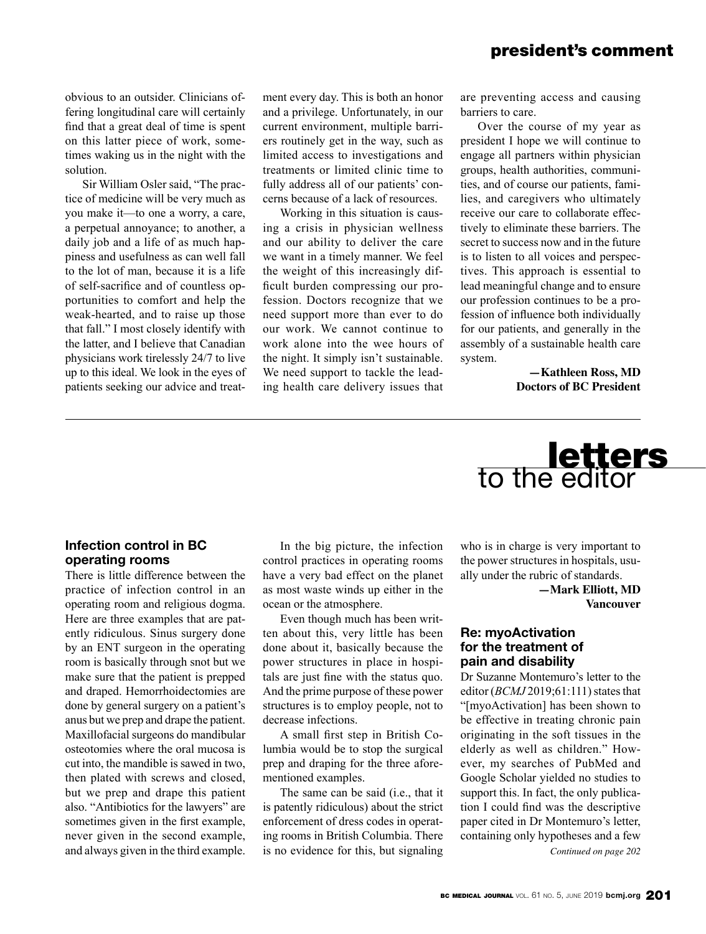## president's comment

obvious to an outsider. Clinicians offering longitudinal care will certainly find that a great deal of time is spent on this latter piece of work, sometimes waking us in the night with the solution.

Sir William Osler said, "The practice of medicine will be very much as you make it—to one a worry, a care, a perpetual annoyance; to another, a daily job and a life of as much happiness and usefulness as can well fall to the lot of man, because it is a life of self-sacrifice and of countless opportunities to comfort and help the weak-hearted, and to raise up those that fall." I most closely identify with the latter, and I believe that Canadian physicians work tirelessly 24/7 to live up to this ideal. We look in the eyes of patients seeking our advice and treatment every day. This is both an honor and a privilege. Unfortunately, in our current environment, multiple barriers routinely get in the way, such as limited access to investigations and treatments or limited clinic time to fully address all of our patients' concerns because of a lack of resources.

Working in this situation is causing a crisis in physician wellness and our ability to deliver the care we want in a timely manner. We feel the weight of this increasingly difficult burden compressing our profession. Doctors recognize that we need support more than ever to do our work. We cannot continue to work alone into the wee hours of the night. It simply isn't sustainable. We need support to tackle the leading health care delivery issues that are preventing access and causing barriers to care.

Over the course of my year as president I hope we will continue to engage all partners within physician groups, health authorities, communities, and of course our patients, families, and caregivers who ultimately receive our care to collaborate effectively to eliminate these barriers. The secret to success now and in the future is to listen to all voices and perspectives. This approach is essential to lead meaningful change and to ensure our profession continues to be a profession of influence both individually for our patients, and generally in the assembly of a sustainable health care system.

> **—Kathleen Ross, MD Doctors of BC President**

# **letters**<br>to the editor

## **Infection control in BC operating rooms**

There is little difference between the practice of infection control in an operating room and religious dogma. Here are three examples that are patently ridiculous. Sinus surgery done by an ENT surgeon in the operating room is basically through snot but we make sure that the patient is prepped and draped. Hemorrhoidectomies are done by general surgery on a patient's anus but we prep and drape the patient. Maxillofacial surgeons do mandibular osteotomies where the oral mucosa is cut into, the mandible is sawed in two, then plated with screws and closed, but we prep and drape this patient also. "Antibiotics for the lawyers" are sometimes given in the first example, never given in the second example, and always given in the third example.

In the big picture, the infection control practices in operating rooms have a very bad effect on the planet as most waste winds up either in the ocean or the atmosphere.

Even though much has been written about this, very little has been done about it, basically because the power structures in place in hospitals are just fine with the status quo. And the prime purpose of these power structures is to employ people, not to decrease infections.

A small first step in British Columbia would be to stop the surgical prep and draping for the three aforementioned examples.

The same can be said (i.e., that it is patently ridiculous) about the strict enforcement of dress codes in operating rooms in British Columbia. There is no evidence for this, but signaling

who is in charge is very important to the power structures in hospitals, usually under the rubric of standards.

> **—Mark Elliott, MD Vancouver**

## **Re: myoActivation for the treatment of pain and disability**

Dr Suzanne Montemuro's letter to the editor (*BCMJ* 2019;61:111) states that "[myoActivation] has been shown to be effective in treating chronic pain originating in the soft tissues in the elderly as well as children." However, my searches of PubMed and Google Scholar yielded no studies to support this. In fact, the only publication I could find was the descriptive paper cited in Dr Montemuro's letter, containing only hypotheses and a few

*Continued on page 202*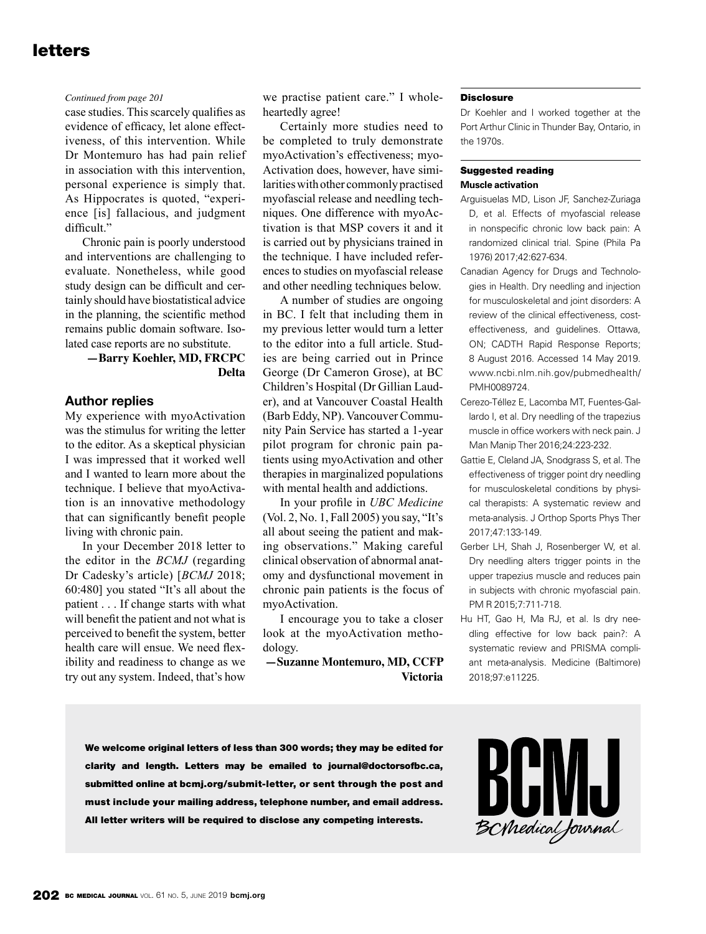# letters

#### *Continued from page 201*

case studies. This scarcely qualifies as evidence of efficacy, let alone effectiveness, of this intervention. While Dr Montemuro has had pain relief in association with this intervention, personal experience is simply that. As Hippocrates is quoted, "experience [is] fallacious, and judgment difficult."

Chronic pain is poorly understood and interventions are challenging to evaluate. Nonetheless, while good study design can be difficult and certainly should have biostatistical advice in the planning, the scientific method remains public domain software. Isolated case reports are no substitute.

#### **—Barry Koehler, MD, FRCPC Delta**

#### **Author replies**

My experience with myoActivation was the stimulus for writing the letter to the editor. As a skeptical physician I was impressed that it worked well and I wanted to learn more about the technique. I believe that myoActivation is an innovative methodology that can significantly benefit people living with chronic pain.

In your December 2018 letter to the editor in the *BCMJ* (regarding Dr Cadesky's article) [*BCMJ* 2018; 60:480] you stated "It's all about the patient . . . If change starts with what will benefit the patient and not what is perceived to benefit the system, better health care will ensue. We need flexibility and readiness to change as we try out any system. Indeed, that's how we practise patient care." I wholeheartedly agree!

Certainly more studies need to be completed to truly demonstrate myoActivation's effectiveness; myo-Activation does, however, have similarities with other commonly practised myofascial release and needling techniques. One difference with myoActivation is that MSP covers it and it is carried out by physicians trained in the technique. I have included references to studies on myofascial release and other needling techniques below.

A number of studies are ongoing in BC. I felt that including them in my previous letter would turn a letter to the editor into a full article. Studies are being carried out in Prince George (Dr Cameron Grose), at BC Children's Hospital (Dr Gillian Lauder), and at Vancouver Coastal Health (Barb Eddy, NP). Vancouver Community Pain Service has started a 1-year pilot program for chronic pain patients using myoActivation and other therapies in marginalized populations with mental health and addictions.

In your profile in *UBC Medicine* (Vol. 2, No. 1, Fall 2005) you say, "It's all about seeing the patient and making observations." Making careful clinical observation of abnormal anatomy and dysfunctional movement in chronic pain patients is the focus of myoActivation.

I encourage you to take a closer look at the myoActivation methodology.

**—Suzanne Montemuro, MD, CCFP Victoria**

#### Disclosure

Dr Koehler and I worked together at the Port Arthur Clinic in Thunder Bay, Ontario, in the 1970s.

#### Suggested reading **Muscle activation**

- Arguisuelas MD, Lison JF, Sanchez-Zuriaga D, et al. Effects of myofascial release in nonspecific chronic low back pain: A randomized clinical trial. Spine (Phila Pa 1976) 2017;42:627-634.
- Canadian Agency for Drugs and Technologies in Health. Dry needling and injection for musculoskeletal and joint disorders: A review of the clinical effectiveness, costeffectiveness, and guidelines. Ottawa, ON; CADTH Rapid Response Reports; 8 August 2016. Accessed 14 May 2019. www.ncbi.nlm.nih.gov/pubmedhealth/ PMH0089724.
- Cerezo-Téllez E, Lacomba MT, Fuentes-Gallardo I, et al. Dry needling of the trapezius muscle in office workers with neck pain. J Man Manip Ther 2016;24:223-232.
- Gattie E, Cleland JA, Snodgrass S, et al. The effectiveness of trigger point dry needling for musculoskeletal conditions by physical therapists: A systematic review and meta-analysis. J Orthop Sports Phys Ther 2017;47:133-149.
- Gerber LH, Shah J, Rosenberger W, et al. Dry needling alters trigger points in the upper trapezius muscle and reduces pain in subjects with chronic myofascial pain. PM R 2015;7:711-718.
- Hu HT, Gao H, Ma RJ, et al. Is dry needling effective for low back pain?: A systematic review and PRISMA compliant meta-analysis. Medicine (Baltimore) 2018;97:e11225.

We welcome original letters of less than 300 words; they may be edited for clarity and length. Letters may be emailed to journal@doctorsofbc.ca, submitted online at bcmj.org/submit-letter, or sent through the post and must include your mailing address, telephone number, and email address. All letter writers will be required to disclose any competing interests.

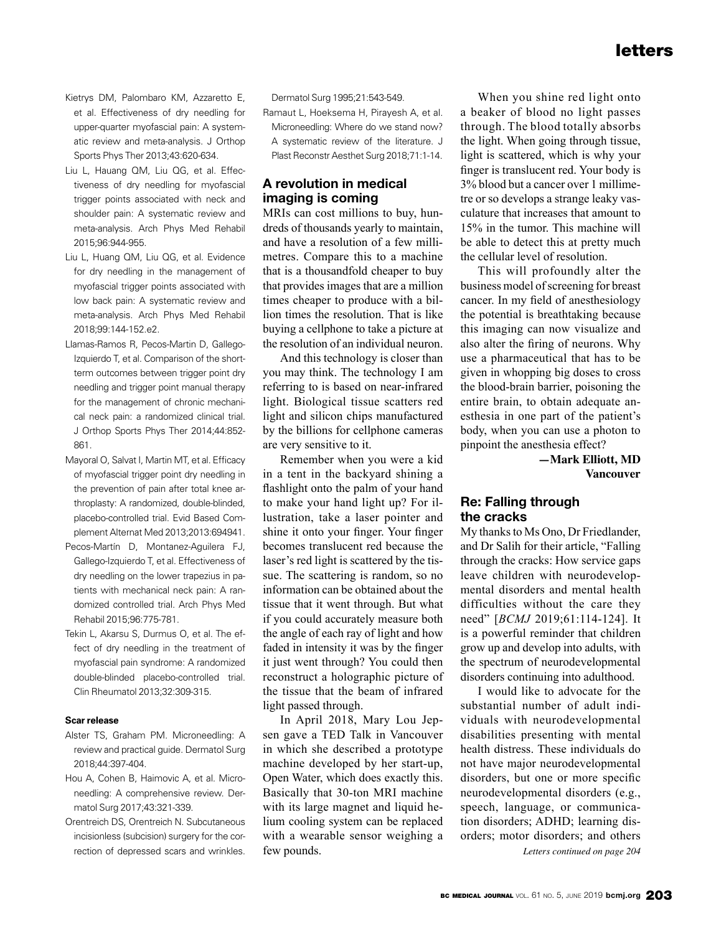- Kietrys DM, Palombaro KM, Azzaretto E, et al. Effectiveness of dry needling for upper-quarter myofascial pain: A systematic review and meta-analysis. J Orthop Sports Phys Ther 2013;43:620-634.
- Liu L, Hauang QM, Liu QG, et al. Effectiveness of dry needling for myofascial trigger points associated with neck and shoulder pain: A systematic review and meta-analysis. Arch Phys Med Rehabil 2015;96:944-955.
- Liu L, Huang QM, Liu QG, et al. Evidence for dry needling in the management of myofascial trigger points associated with low back pain: A systematic review and meta-analysis. Arch Phys Med Rehabil 2018;99:144-152.e2.
- Llamas-Ramos R, Pecos-Martin D, Gallego-Izquierdo T, et al. Comparison of the shortterm outcomes between trigger point dry needling and trigger point manual therapy for the management of chronic mechanical neck pain: a randomized clinical trial. J Orthop Sports Phys Ther 2014;44:852- 861.
- Mayoral O, Salvat I, Martin MT, et al. Efficacy of myofascial trigger point dry needling in the prevention of pain after total knee arthroplasty: A randomized, double-blinded, placebo-controlled trial. Evid Based Complement Alternat Med 2013;2013:694941.
- Pecos-Martín D, Montanez-Aguilera FJ, Gallego-Izquierdo T, et al. Effectiveness of dry needling on the lower trapezius in patients with mechanical neck pain: A randomized controlled trial. Arch Phys Med Rehabil 2015;96:775-781.
- Tekin L, Akarsu S, Durmus O, et al. The effect of dry needling in the treatment of myofascial pain syndrome: A randomized double-blinded placebo-controlled trial. Clin Rheumatol 2013;32:309-315.

#### **Scar release**

- Alster TS, Graham PM. Microneedling: A review and practical guide. Dermatol Surg 2018;44:397-404.
- Hou A, Cohen B, Haimovic A, et al. Microneedling: A comprehensive review. Dermatol Surg 2017;43:321-339.
- Orentreich DS, Orentreich N. Subcutaneous incisionless (subcision) surgery for the correction of depressed scars and wrinkles.

Dermatol Surg 1995;21:543-549.

Ramaut L, Hoeksema H, Pirayesh A, et al. Microneedling: Where do we stand now? A systematic review of the literature. J Plast Reconstr Aesthet Surg 2018;71:1-14.

## **A revolution in medical imaging is coming**

MRIs can cost millions to buy, hundreds of thousands yearly to maintain, and have a resolution of a few millimetres. Compare this to a machine that is a thousandfold cheaper to buy that provides images that are a million times cheaper to produce with a billion times the resolution. That is like buying a cellphone to take a picture at the resolution of an individual neuron.

And this technology is closer than you may think. The technology I am referring to is based on near-infrared light. Biological tissue scatters red light and silicon chips manufactured by the billions for cellphone cameras are very sensitive to it.

Remember when you were a kid in a tent in the backyard shining a flashlight onto the palm of your hand to make your hand light up? For illustration, take a laser pointer and shine it onto your finger. Your finger becomes translucent red because the laser's red light is scattered by the tissue. The scattering is random, so no information can be obtained about the tissue that it went through. But what if you could accurately measure both the angle of each ray of light and how faded in intensity it was by the finger it just went through? You could then reconstruct a holographic picture of the tissue that the beam of infrared light passed through.

In April 2018, Mary Lou Jepsen gave a TED Talk in Vancouver in which she described a prototype machine developed by her start-up, Open Water, which does exactly this. Basically that 30-ton MRI machine with its large magnet and liquid helium cooling system can be replaced with a wearable sensor weighing a few pounds.

When you shine red light onto a beaker of blood no light passes through. The blood totally absorbs the light. When going through tissue, light is scattered, which is why your finger is translucent red. Your body is 3% blood but a cancer over 1 millimetre or so develops a strange leaky vasculature that increases that amount to 15% in the tumor. This machine will be able to detect this at pretty much the cellular level of resolution.

This will profoundly alter the business model of screening for breast cancer. In my field of anesthesiology the potential is breathtaking because this imaging can now visualize and also alter the firing of neurons. Why use a pharmaceutical that has to be given in whopping big doses to cross the blood-brain barrier, poisoning the entire brain, to obtain adequate anesthesia in one part of the patient's body, when you can use a photon to pinpoint the anesthesia effect?

> **—Mark Elliott, MD Vancouver**

## **Re: Falling through the cracks**

My thanks to Ms Ono, Dr Friedlander, and Dr Salih for their article, "Falling through the cracks: How service gaps leave children with neurodevelopmental disorders and mental health difficulties without the care they need" [*BCMJ* 2019;61:114-124]. It is a powerful reminder that children grow up and develop into adults, with the spectrum of neurodevelopmental disorders continuing into adulthood.

I would like to advocate for the substantial number of adult individuals with neurodevelopmental disabilities presenting with mental health distress. These individuals do not have major neurodevelopmental disorders, but one or more specific neurodevelopmental disorders (e.g., speech, language, or communication disorders; ADHD; learning disorders; motor disorders; and others *Letters continued on page 204*